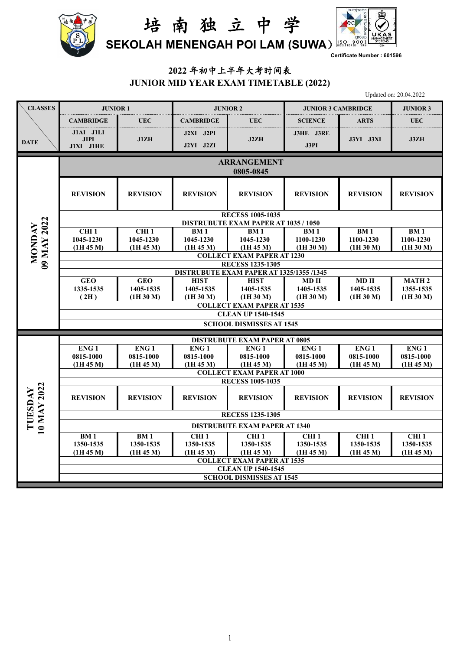



**Certificate Number : 601596**

### **2022** 年初中上半年大考时间表 **JUNIOR MID YEAR EXAM TIMETABLE (2022)**

Updated on: 20.04.2022

| <b>CLASSES</b>               | <b>JUNIOR 1</b>                       |                               |                               | <b>JUNIOR 2</b>                                              | <b>JUNIOR 3 CAMBRIDGE</b>     |                                   | <b>JUNIOR 3</b>                   |
|------------------------------|---------------------------------------|-------------------------------|-------------------------------|--------------------------------------------------------------|-------------------------------|-----------------------------------|-----------------------------------|
|                              | <b>CAMBRIDGE</b>                      | <b>UEC</b>                    | <b>CAMBRIDGE</b>              | <b>UEC</b>                                                   | <b>SCIENCE</b>                | <b>ARTS</b>                       | <b>UEC</b>                        |
| <b>DATE</b>                  | J1AI J1LI<br><b>JIPI</b><br>J1XI J1HE | J1ZH                          | J2XI J2PI<br>J2YI J2ZI        | J2ZH                                                         | J3HE J3RE<br>J3PI             | J3YI J3XI                         | J3ZH                              |
|                              |                                       |                               |                               | <b>ARRANGEMENT</b><br>0805-0845                              |                               |                                   |                                   |
|                              | <b>REVISION</b>                       | <b>REVISION</b>               | <b>REVISION</b>               | <b>REVISION</b>                                              | <b>REVISION</b>               | <b>REVISION</b>                   | <b>REVISION</b>                   |
|                              |                                       |                               |                               | <b>RECESS 1005-1035</b>                                      |                               |                                   |                                   |
|                              |                                       |                               |                               | <b>DISTRUBUTE EXAM PAPER AT 1035 / 1050</b>                  |                               |                                   |                                   |
|                              | CHI <sub>1</sub>                      | CHI <sub>1</sub>              | <b>BM1</b>                    | <b>BM1</b>                                                   | BM <sub>1</sub>               | <b>BM1</b>                        | BM <sub>1</sub>                   |
|                              | 1045-1230<br>(1H 45 M)                | 1045-1230<br>(1H 45 M)        | 1045-1230<br>(1H 45 M)        | 1045-1230<br>(1H 45 M)                                       | 1100-1230<br>(1H 30 M)        | 1100-1230<br>(1H <sub>30</sub> M) | 1100-1230<br>(1H <sub>30</sub> M) |
| 09 MAY 2022<br><b>NONDAY</b> |                                       |                               |                               | <b>COLLECT EXAM PAPER AT 1230</b>                            |                               |                                   |                                   |
|                              |                                       |                               |                               | <b>RECESS 1235-1305</b>                                      |                               |                                   |                                   |
|                              |                                       |                               |                               | DISTRUBUTE EXAM PAPER AT 1325/1355 /1345                     |                               |                                   |                                   |
|                              | <b>GEO</b>                            | <b>GEO</b>                    | <b>HIST</b>                   | <b>HIST</b>                                                  | MD <sub>II</sub>              | $MD$ $II$                         | <b>MATH 2</b>                     |
|                              | 1335-1535                             | 1405-1535                     | 1405-1535                     | 1405-1535                                                    | 1405-1535                     | 1405-1535                         | 1355-1535                         |
|                              | (2H)                                  | (1H 30 M)                     | (1H 30 M)                     | (1H 30 M)<br><b>COLLECT EXAM PAPER AT 1535</b>               | (1H 30 M)                     | (1H 30 M)                         | (1H 30 M)                         |
|                              |                                       |                               |                               | <b>CLEAN UP 1540-1545</b>                                    |                               |                                   |                                   |
|                              |                                       |                               |                               | <b>SCHOOL DISMISSES AT 1545</b>                              |                               |                                   |                                   |
|                              |                                       |                               |                               |                                                              |                               |                                   |                                   |
|                              |                                       |                               |                               | <b>DISTRUBUTE EXAM PAPER AT 0805</b>                         |                               |                                   |                                   |
|                              | ENG <sub>1</sub><br>0815-1000         | ENG <sub>1</sub><br>0815-1000 | ENG <sub>1</sub><br>0815-1000 | ENG <sub>1</sub><br>0815-1000                                | ENG <sub>1</sub><br>0815-1000 | ENG <sub>1</sub><br>0815-1000     | ENG <sub>1</sub><br>0815-1000     |
|                              | (1H 45 M)                             | (1H 45 M)                     | (1H 45 M)                     | (1H 45 M)                                                    | (1H 45 M)                     | (1H 45 M)                         | (1H 45 M)                         |
|                              |                                       |                               |                               | <b>COLLECT EXAM PAPER AT 1000</b>                            |                               |                                   |                                   |
|                              |                                       |                               |                               | <b>RECESS 1005-1035</b>                                      |                               |                                   |                                   |
| 10 MAY 2022<br>TUESDAY       | <b>REVISION</b>                       | <b>REVISION</b>               | <b>REVISION</b>               | <b>REVISION</b>                                              | <b>REVISION</b>               | <b>REVISION</b>                   | <b>REVISION</b>                   |
|                              |                                       |                               |                               | <b>RECESS 1235-1305</b>                                      |                               |                                   |                                   |
|                              |                                       |                               |                               | <b>DISTRUBUTE EXAM PAPER AT 1340</b>                         |                               |                                   |                                   |
|                              | <b>BM1</b>                            | <b>BM1</b>                    | CHI <sub>1</sub>              | CHI <sub>1</sub>                                             | CHI <sub>1</sub>              | CHI <sub>1</sub>                  | CHI <sub>1</sub>                  |
|                              | 1350-1535                             | 1350-1535                     | 1350-1535                     | 1350-1535                                                    | 1350-1535                     | 1350-1535                         | 1350-1535                         |
|                              | (1H 45 M)                             | (1H 45 M)                     | (1H 45 M)                     | (1H 45 M)                                                    | (1H 45 M)                     | (1H 45 M)                         | (1H 45 M)                         |
|                              |                                       |                               |                               | <b>COLLECT EXAM PAPER AT 1535</b>                            |                               |                                   |                                   |
|                              |                                       |                               |                               | <b>CLEAN UP 1540-1545</b><br><b>SCHOOL DISMISSES AT 1545</b> |                               |                                   |                                   |
|                              |                                       |                               |                               |                                                              |                               |                                   |                                   |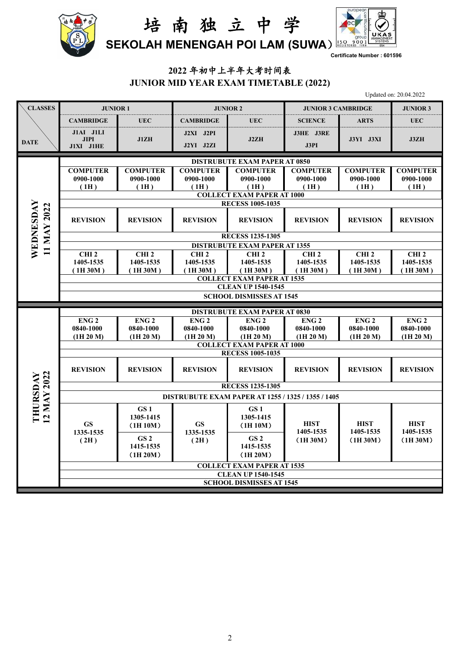



**Certificate Number : 601596**

# **2022** 年初中上半年大考时间表 **JUNIOR MID YEAR EXAM TIMETABLE (2022)**

Updated on: 20.04.2022

| <b>CLASSES</b>           | <b>JUNIOR 1</b>                                    |                                                                   | <b>JUNIOR 2</b>                          |                                          | <b>JUNIOR 3 CAMBRIDGE</b>                | <b>JUNIOR 3</b>                          |                                          |  |  |  |  |  |
|--------------------------|----------------------------------------------------|-------------------------------------------------------------------|------------------------------------------|------------------------------------------|------------------------------------------|------------------------------------------|------------------------------------------|--|--|--|--|--|
|                          | <b>CAMBRIDGE</b>                                   | <b>UEC</b>                                                        | <b>CAMBRIDGE</b>                         | <b>UEC</b>                               | <b>SCIENCE</b>                           | <b>ARTS</b>                              | <b>UEC</b>                               |  |  |  |  |  |
| <b>DATE</b>              | J1AI J1LI<br><b>JIPI</b><br>$J1XI$ $J1HE$          | J1ZH                                                              | J2XI J2PI<br>J2YI J2ZI                   | J2ZH                                     | J3HE J3RE<br>J3PI                        | J3YI J3XI                                | J3ZH                                     |  |  |  |  |  |
|                          | <b>DISTRUBUTE EXAM PAPER AT 0850</b>               |                                                                   |                                          |                                          |                                          |                                          |                                          |  |  |  |  |  |
|                          | <b>COMPUTER</b><br>0900-1000<br>(1H)               | <b>COMPUTER</b><br>0900-1000<br>(1H)                              | <b>COMPUTER</b><br>0900-1000<br>(1H)     | <b>COMPUTER</b><br>0900-1000<br>(1H)     | <b>COMPUTER</b><br>0900-1000<br>(1H)     | <b>COMPUTER</b><br>0900-1000<br>(1H)     | <b>COMPUTER</b><br>0900-1000<br>(1H)     |  |  |  |  |  |
|                          | <b>COLLECT EXAM PAPER AT 1000</b>                  |                                                                   |                                          |                                          |                                          |                                          |                                          |  |  |  |  |  |
|                          | <b>RECESS 1005-1035</b>                            |                                                                   |                                          |                                          |                                          |                                          |                                          |  |  |  |  |  |
| WEDNESDAY<br>11 MAY 2022 | <b>REVISION</b>                                    | <b>REVISION</b>                                                   | <b>REVISION</b>                          | <b>REVISION</b>                          | <b>REVISION</b>                          | <b>REVISION</b>                          | <b>REVISION</b>                          |  |  |  |  |  |
|                          | <b>RECESS 1235-1305</b>                            |                                                                   |                                          |                                          |                                          |                                          |                                          |  |  |  |  |  |
|                          | <b>DISTRUBUTE EXAM PAPER AT 1355</b>               |                                                                   |                                          |                                          |                                          |                                          |                                          |  |  |  |  |  |
|                          | CHI <sub>2</sub><br>1405-1535<br>(1H30M)           | CHI <sub>2</sub><br>1405-1535<br>(1H30M)                          | CHI <sub>2</sub><br>1405-1535<br>(1H30M) | CHI <sub>2</sub><br>1405-1535<br>(1H30M) | CHI <sub>2</sub><br>1405-1535<br>(1H30M) | CHI <sub>2</sub><br>1405-1535<br>(1H30M) | CHI <sub>2</sub><br>1405-1535<br>(1H30M) |  |  |  |  |  |
|                          | <b>COLLECT EXAM PAPER AT 1535</b>                  |                                                                   |                                          |                                          |                                          |                                          |                                          |  |  |  |  |  |
|                          | <b>CLEAN UP 1540-1545</b>                          |                                                                   |                                          |                                          |                                          |                                          |                                          |  |  |  |  |  |
|                          | <b>SCHOOL DISMISSES AT 1545</b>                    |                                                                   |                                          |                                          |                                          |                                          |                                          |  |  |  |  |  |
|                          | <b>DISTRUBUTE EXAM PAPER AT 0830</b>               |                                                                   |                                          |                                          |                                          |                                          |                                          |  |  |  |  |  |
|                          | ENG <sub>2</sub>                                   | ENG <sub>2</sub>                                                  | ENG <sub>2</sub>                         | ENG <sub>2</sub>                         | ENG <sub>2</sub>                         | ENG <sub>2</sub>                         | ENG <sub>2</sub>                         |  |  |  |  |  |
|                          | 0840-1000<br>(1H 20 M)                             | 0840-1000<br>(1H 20 M)                                            | 0840-1000<br>(1H 20 M)                   | 0840-1000<br>(1H 20 M)                   | 0840-1000<br>(1H 20 M)                   | 0840-1000<br>(1H 20 M)                   | 0840-1000<br>(1H 20 M)                   |  |  |  |  |  |
|                          | <b>COLLECT EXAM PAPER AT 1000</b>                  |                                                                   |                                          |                                          |                                          |                                          |                                          |  |  |  |  |  |
|                          | <b>RECESS 1005-1035</b>                            |                                                                   |                                          |                                          |                                          |                                          |                                          |  |  |  |  |  |
|                          | <b>REVISION</b>                                    | <b>REVISION</b>                                                   | <b>REVISION</b>                          | <b>REVISION</b>                          | <b>REVISION</b>                          | <b>REVISION</b>                          | <b>REVISION</b>                          |  |  |  |  |  |
|                          | <b>RECESS 1235-1305</b>                            |                                                                   |                                          |                                          |                                          |                                          |                                          |  |  |  |  |  |
|                          | DISTRUBUTE EXAM PAPER AT 1255 / 1325 / 1355 / 1405 |                                                                   |                                          |                                          |                                          |                                          |                                          |  |  |  |  |  |
| 12 MAY 2022<br>THURSDAY  | <b>GS</b><br>1335-1535                             | GS <sub>1</sub><br>1305-1415<br><b>GS</b><br>(1H10M)<br>1335-1535 | GS <sub>1</sub><br>1305-1415<br>(1H10M)  | <b>HIST</b><br>1405-1535                 | <b>HIST</b><br>1405-1535                 | <b>HIST</b><br>1405-1535                 |                                          |  |  |  |  |  |
|                          | GS <sub>2</sub><br>(2H)<br>1415-1535<br>(1H 20M)   | (2H)                                                              | GS <sub>2</sub><br>1415-1535<br>(1H 20M) | (1H30M)                                  | (1H30M)                                  | (1H 30M)                                 |                                          |  |  |  |  |  |
|                          | <b>COLLECT EXAM PAPER AT 1535</b>                  |                                                                   |                                          |                                          |                                          |                                          |                                          |  |  |  |  |  |
|                          |                                                    | <b>CLEAN UP 1540-1545</b>                                         |                                          |                                          |                                          |                                          |                                          |  |  |  |  |  |
|                          | <b>SCHOOL DISMISSES AT 1545</b>                    |                                                                   |                                          |                                          |                                          |                                          |                                          |  |  |  |  |  |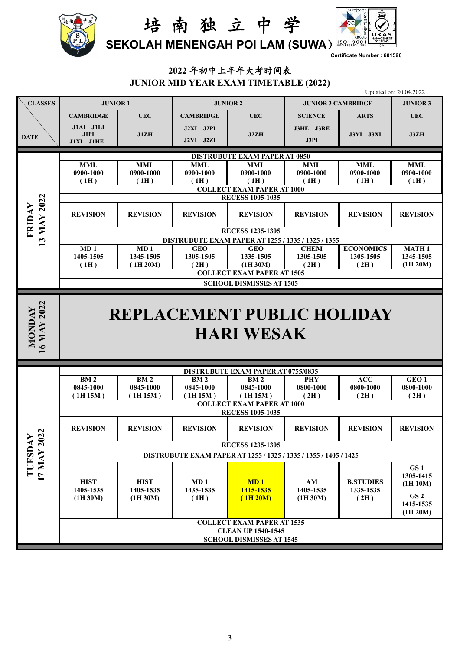



**Certificate Number : 601596**

# **2022** 年初中上半年大考时间表 **JUNIOR MID YEAR EXAM TIMETABLE (2022)**

|                              |                                                                  |                              |                         |                                                              |                           |                               | Updated on: 20.04.2022       |  |  |  |  |
|------------------------------|------------------------------------------------------------------|------------------------------|-------------------------|--------------------------------------------------------------|---------------------------|-------------------------------|------------------------------|--|--|--|--|
| <b>CLASSES</b>               | <b>JUNIOR 1</b>                                                  |                              |                         | <b>JUNIOR 2</b>                                              | <b>JUNIOR 3 CAMBRIDGE</b> | <b>JUNIOR 3</b>               |                              |  |  |  |  |
|                              | <b>CAMBRIDGE</b>                                                 | <b>UEC</b>                   | <b>CAMBRIDGE</b>        | <b>UEC</b>                                                   | <b>SCIENCE</b>            | <b>ARTS</b>                   | <b>UEC</b>                   |  |  |  |  |
| <b>DATE</b>                  | J1AI J1LI<br><b>JIPI</b><br>J1XI J1HE                            | J1ZH                         | J2XI J2PI<br>J2YI J2ZI  | J2ZH                                                         | J3HE J3RE<br>J3PI         | <b>J3YI J3XI</b>              | J3ZH                         |  |  |  |  |
|                              |                                                                  |                              |                         | <b>DISTRUBUTE EXAM PAPER AT 0850</b>                         |                           |                               |                              |  |  |  |  |
|                              | <b>MML</b>                                                       | <b>MML</b>                   | <b>MML</b>              | <b>MML</b>                                                   | <b>MML</b>                | <b>MML</b>                    | <b>MML</b>                   |  |  |  |  |
|                              | 0900-1000<br>(1H)                                                | 0900-1000<br>(1H)            | 0900-1000<br>(1H)       | 0900-1000<br>(1H)                                            | 0900-1000<br>(1H)         | 0900-1000<br>(1H)             | 0900-1000<br>(1H)            |  |  |  |  |
|                              |                                                                  |                              |                         | <b>COLLECT EXAM PAPER AT 1000</b>                            |                           |                               |                              |  |  |  |  |
|                              | <b>RECESS 1005-1035</b>                                          |                              |                         |                                                              |                           |                               |                              |  |  |  |  |
| 13 MAY 2022<br>FRIDAY        | <b>REVISION</b>                                                  | <b>REVISION</b>              | <b>REVISION</b>         | <b>REVISION</b>                                              | <b>REVISION</b>           | <b>REVISION</b>               | <b>REVISION</b>              |  |  |  |  |
|                              | <b>RECESS 1235-1305</b>                                          |                              |                         |                                                              |                           |                               |                              |  |  |  |  |
|                              | DISTRUBUTE EXAM PAPER AT 1255 / 1335 / 1325 / 1355               |                              |                         |                                                              |                           |                               |                              |  |  |  |  |
|                              | MD <sub>1</sub><br>1405-1505                                     | MD <sub>1</sub><br>1345-1505 | <b>GEO</b><br>1305-1505 | <b>GEO</b><br>1335-1505                                      | <b>CHEM</b><br>1305-1505  | <b>ECONOMICS</b><br>1305-1505 | <b>MATH1</b><br>1345-1505    |  |  |  |  |
|                              | (1H)                                                             | (1H 20M)                     | (2H)                    | (1H 30M)                                                     | (2H)                      | (2H)                          | (1H 20M)                     |  |  |  |  |
|                              | <b>COLLECT EXAM PAPER AT 1505</b>                                |                              |                         |                                                              |                           |                               |                              |  |  |  |  |
|                              | <b>SCHOOL DISMISSES AT 1505</b>                                  |                              |                         |                                                              |                           |                               |                              |  |  |  |  |
| 16 MAY 2022<br><b>MONDAY</b> | <b>HARI WESAK</b>                                                |                              |                         |                                                              |                           |                               |                              |  |  |  |  |
|                              |                                                                  |                              |                         | <b>DISTRUBUTE EXAM PAPER AT 0755/0835</b>                    |                           |                               |                              |  |  |  |  |
|                              | BM <sub>2</sub>                                                  | BM <sub>2</sub>              | BM <sub>2</sub>         | BM <sub>2</sub>                                              | PHY                       | ACC                           | GEO <sub>1</sub>             |  |  |  |  |
|                              | 0845-1000<br>(1H15M)                                             | 0845-1000<br>(1H15M)         | 0845-1000<br>(1H15M)    | 0845-1000<br>(1H15M)                                         | 0800-1000<br>(2H)         | 0800-1000<br>(2H)             | 0800-1000<br>(2H)            |  |  |  |  |
|                              |                                                                  |                              |                         | <b>COLLECT EXAM PAPER AT 1000</b>                            |                           |                               |                              |  |  |  |  |
|                              | <b>RECESS 1005-1035</b>                                          |                              |                         |                                                              |                           |                               |                              |  |  |  |  |
|                              | <b>REVISION</b>                                                  | <b>REVISION</b>              | <b>REVISION</b>         | <b>REVISION</b>                                              | <b>REVISION</b>           | <b>REVISION</b>               | <b>REVISION</b>              |  |  |  |  |
|                              |                                                                  | <b>RECESS 1235-1305</b>      |                         |                                                              |                           |                               |                              |  |  |  |  |
|                              | DISTRUBUTE EXAM PAPER AT 1255 / 1325 / 1335 / 1355 / 1405 / 1425 |                              |                         |                                                              |                           |                               |                              |  |  |  |  |
| TUESDAY<br>17 MAY 2022       |                                                                  |                              |                         |                                                              |                           |                               | GS1                          |  |  |  |  |
|                              | <b>HIST</b>                                                      | <b>HIST</b>                  | MD <sub>1</sub>         | MD1                                                          | AM                        | <b>B.STUDIES</b>              | 1305-1415<br>(1H 10M)        |  |  |  |  |
|                              | 1405-1535<br>(1H 30M)                                            | 1405-1535<br>(1H 30M)        | 1435-1535<br>(1H)       | 1415-1535<br>(1H 20M)                                        | 1405-1535<br>(1H 30M)     | 1335-1535<br>(2H)             | GS2<br>1415-1535<br>(1H 20M) |  |  |  |  |
|                              |                                                                  |                              |                         | <b>COLLECT EXAM PAPER AT 1535</b>                            |                           |                               |                              |  |  |  |  |
|                              |                                                                  |                              |                         | <b>CLEAN UP 1540-1545</b><br><b>SCHOOL DISMISSES AT 1545</b> |                           |                               |                              |  |  |  |  |